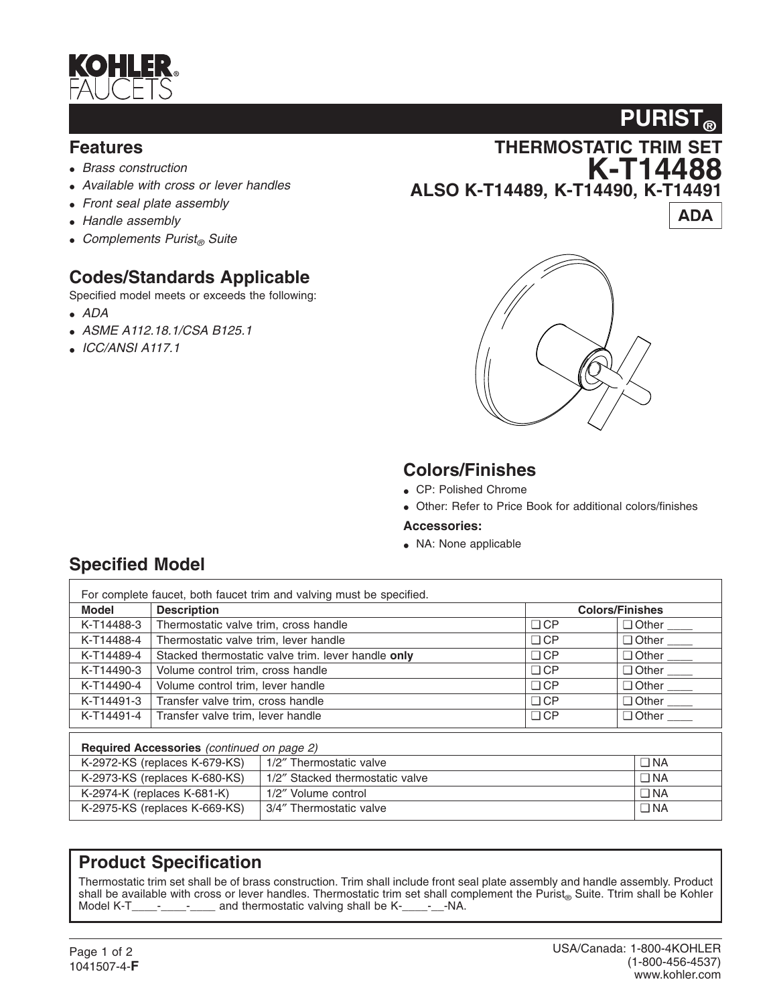

#### **Features**

- *Brass construction*
- *Available with cross or lever handles*
- *Front seal plate assembly*
- *Handle assembly*
- Complements Purist<sub>®</sub> Suite

# **Codes/Standards Applicable**

Specified model meets or exceeds the following:

- *ADA*
- *ASME A112.18.1/CSA B125.1*
- *ICC/ANSI A117.1*





## **Colors/Finishes**

- CP: Polished Chrome
- Other: Refer to Price Book for additional colors/finishes

#### **Accessories:**

• NA: None applicable

| For complete faucet, both faucet trim and valving must be specified. |                                                    |                                 |                        |                       |  |  |
|----------------------------------------------------------------------|----------------------------------------------------|---------------------------------|------------------------|-----------------------|--|--|
| <b>Model</b>                                                         | <b>Description</b>                                 |                                 | <b>Colors/Finishes</b> |                       |  |  |
| K-T14488-3                                                           | Thermostatic valve trim, cross handle              |                                 | $\Box$ CP              |                       |  |  |
| K-T14488-4                                                           | Thermostatic valve trim, lever handle              |                                 | $\Box$ CP              |                       |  |  |
| K-T14489-4                                                           | Stacked thermostatic valve trim. lever handle only |                                 | $\Box$ CP              |                       |  |  |
| K-T14490-3                                                           | Volume control trim, cross handle                  |                                 | $\Box$ CP              |                       |  |  |
| K-T14490-4                                                           | Volume control trim, lever handle                  |                                 | $\Box$ CP              |                       |  |  |
| K-T14491-3                                                           | Transfer valve trim, cross handle                  |                                 | $\Box$ CP              | $\Box$ Other ________ |  |  |
| K-T14491-4                                                           | Transfer valve trim, lever handle                  |                                 | $\Box$ CP              | $\Box$ Other $\Box$   |  |  |
| Required Accessories (continued on page 2)                           |                                                    |                                 |                        |                       |  |  |
| K-2972-KS (replaces K-679-KS)                                        |                                                    | 1/2" Thermostatic valve         |                        | $\Box$ NA             |  |  |
| K-2973-KS (replaces K-680-KS)                                        |                                                    | 1/2" Stacked thermostatic valve |                        | $\Box$ NA             |  |  |
| K-2974-K (replaces K-681-K)                                          |                                                    | 1/2" Volume control             |                        | $\Box$ NA             |  |  |
| K-2975-KS (replaces K-669-KS)                                        |                                                    | 3/4" Thermostatic valve         |                        | $\Box$ NA             |  |  |

### **Product Specification**

Thermostatic trim set shall be of brass construction. Trim shall include front seal plate assembly and handle assembly. Product shall be available with cross or lever handles. Thermostatic trim set shall complement the Purist<sub>®</sub> Suite. Ttrim shall be Kohler Model K-T  $\ldots$  and thermostatic valving shall be K-  $\ldots$  -NA. and thermostatic valving shall be K-\_\_\_\_-\_\_-NA.

## **Specified Model**